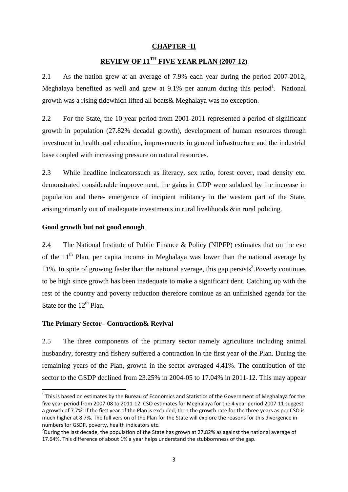# **CHAPTER -II**

# **REVIEW OF 11TH FIVE YEAR PLAN (2007-12)**

2.1 As the nation grew at an average of 7.9% each year during the period 2007-2012, Meghalaya benefited as well and grew at 9.1% per annum during this period<sup>1</sup>. National growth was a rising tidewhich lifted all boats& Meghalaya was no exception.

2.2 For the State, the 10 year period from 2001-2011 represented a period of significant growth in population (27.82% decadal growth), development of human resources through investment in health and education, improvements in general infrastructure and the industrial base coupled with increasing pressure on natural resources.

2.3 While headline indicatorssuch as literacy, sex ratio, forest cover, road density etc. demonstrated considerable improvement, the gains in GDP were subdued by the increase in population and there- emergence of incipient militancy in the western part of the State, arisingprimarily out of inadequate investments in rural livelihoods &in rural policing.

## **Good growth but not good enough**

2.4 The National Institute of Public Finance & Policy (NIPFP) estimates that on the eve of the  $11<sup>th</sup>$  Plan, per capita income in Meghalaya was lower than the national average by 11%. In spite of growing faster than the national average, this gap persists<sup>2</sup>. Poverty continues to be high since growth has been inadequate to make a significant dent. Catching up with the rest of the country and poverty reduction therefore continue as an unfinished agenda for the State for the  $12<sup>th</sup>$  Plan.

#### **The Primary Sector– Contraction& Revival**

2.5 The three components of the primary sector namely agriculture including animal husbandry, forestry and fishery suffered a contraction in the first year of the Plan. During the remaining years of the Plan, growth in the sector averaged 4.41%. The contribution of the sector to the GSDP declined from 23.25% in 2004-05 to 17.04% in 2011-12. This may appear

 $1$  This is based on estimates by the Bureau of Economics and Statistics of the Government of Meghalaya for the five year period from 2007‐08 to 2011‐12. CSO estimates for Meghalaya for the 4 year period 2007‐11 suggest a growth of 7.7%. If the first year of the Plan is excluded, then the growth rate for the three years as per CSO is much higher at 8.7%. The full version of the Plan for the State will explore the reasons for this divergence in numbers for GSDP, poverty, health indicators etc. <sup>2</sup>

<sup>&</sup>lt;sup>2</sup>During the last decade, the population of the State has grown at 27.82% as against the national average of 17.64%. This difference of about 1% a year helps understand the stubbornness of the gap.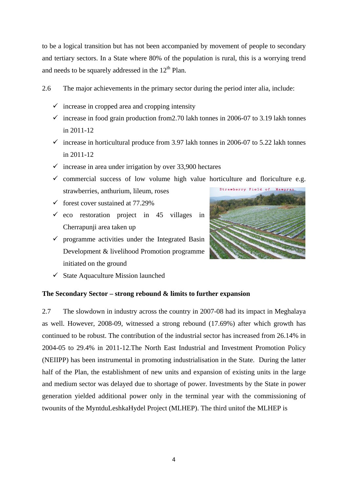to be a logical transition but has not been accompanied by movement of people to secondary and tertiary sectors. In a State where 80% of the population is rural, this is a worrying trend and needs to be squarely addressed in the  $12<sup>th</sup>$  Plan.

- 2.6 The major achievements in the primary sector during the period inter alia, include:
	- $\checkmark$  increase in cropped area and cropping intensity
	- $\checkmark$  increase in food grain production from 2.70 lakh tonnes in 2006-07 to 3.19 lakh tonnes in 2011-12
	- $\checkmark$  increase in horticultural produce from 3.97 lakh tonnes in 2006-07 to 5.22 lakh tonnes in 2011-12
	- $\checkmark$  increase in area under irrigation by over 33,900 hectares

 $\checkmark$  commercial success of low volume high value horticulture and floriculture e.g. Mawpran strawberries, anthurium, lileum, roses

- $\checkmark$  forest cover sustained at 77.29%
- $\checkmark$  eco restoration project in 45 villages in Cherrapunji area taken up
- $\checkmark$  programme activities under the Integrated Basin Development & livelihood Promotion programme initiated on the ground



# **The Secondary Sector – strong rebound & limits to further expansion**

2.7 The slowdown in industry across the country in 2007-08 had its impact in Meghalaya as well. However, 2008-09, witnessed a strong rebound (17.69%) after which growth has continued to be robust. The contribution of the industrial sector has increased from 26.14% in 2004-05 to 29.4% in 2011-12.The North East Industrial and Investment Promotion Policy (NEIIPP) has been instrumental in promoting industrialisation in the State. During the latter half of the Plan, the establishment of new units and expansion of existing units in the large and medium sector was delayed due to shortage of power. Investments by the State in power generation yielded additional power only in the terminal year with the commissioning of twounits of the MyntduLeshkaHydel Project (MLHEP). The third unitof the MLHEP is

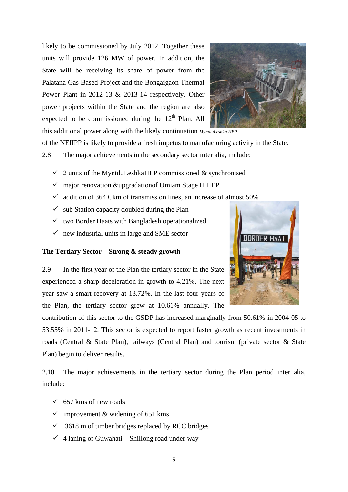likely to be commissioned by July 2012. Together these units will provide 126 MW of power. In addition, the State will be receiving its share of power from the Palatana Gas Based Project and the Bongaigaon Thermal Power Plant in 2012-13 & 2013-14 respectively. Other power projects within the State and the region are also expected to be commissioned during the  $12<sup>th</sup>$  Plan. All



this additional power along with the likely continuation *MyntduLeshka HEP*

of the NEIIPP is likely to provide a fresh impetus to manufacturing activity in the State.

2.8 The major achievements in the secondary sector inter alia, include:

- $\checkmark$  2 units of the MyntduLeshkaHEP commissioned & synchronised
- $\checkmark$  major renovation &upgradation of Umiam Stage II HEP
- $\checkmark$  addition of 364 Ckm of transmission lines, an increase of almost 50%
- $\checkmark$  sub Station capacity doubled during the Plan
- $\checkmark$  two Border Haats with Bangladesh operationalized
- $\checkmark$  new industrial units in large and SME sector

#### **The Tertiary Sector – Strong & steady growth**



2.9 In the first year of the Plan the tertiary sector in the State experienced a sharp deceleration in growth to 4.21%. The next year saw a smart recovery at 13.72%. In the last four years of the Plan, the tertiary sector grew at 10.61% annually. The

contribution of this sector to the GSDP has increased marginally from 50.61% in 2004-05 to 53.55% in 2011-12. This sector is expected to report faster growth as recent investments in roads (Central & State Plan), railways (Central Plan) and tourism (private sector & State Plan) begin to deliver results.

2.10 The major achievements in the tertiary sector during the Plan period inter alia, include:

- $\checkmark$  657 kms of new roads
- $\checkmark$  improvement & widening of 651 kms
- $\checkmark$  3618 m of timber bridges replaced by RCC bridges
- $\checkmark$  4 laning of Guwahati Shillong road under way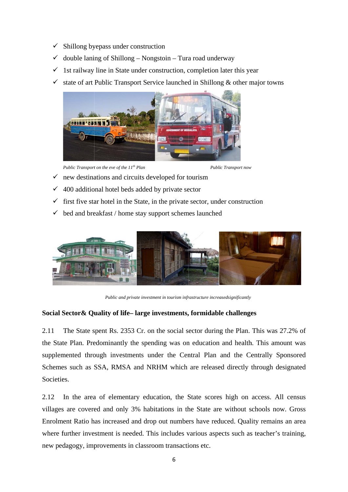- $\checkmark$  Shillong byepass under construction
- $\checkmark$ double laning of Shillong - Nongstoin - Tura road underway
- $\checkmark$ 1st railway line in State under construction, completion later this year
- $\checkmark$ state of art Public Transport Service launched in Shillong & other major towns



*Public Transport on the eve of the 11<sup>th</sup> Plan* 

*Public Transport now* 

- $\checkmark$  new destinations and circuits developed for tourism
- $\checkmark$  400 additional hotel beds added by private sector
- $\checkmark$  first five star hotel in the State, in the private sector, under construction
- $\checkmark$ bed and breakfast / home stay support schemes launched



*Public and private investment in tourism infrastructure increasedsignificantly* 

# Social Sector & Quality of life-large investments, formidable challenges

2.11 the State Plan. Predominantly the spending was on education and health. This amount was supplemented through investments under the Central Plan and the Centrally Sponsored Schemes such as SSA, RMSA and NRHM which are released directly through designated Societies. The State spent Rs. 2353 Cr. on the social sector during the Plan. This was 2

2.12 villages are covered and only 3% habitations in the State are without schools now. Gross Enrolment Ratio has increased and drop out numbers have reduced. Quality remains an area where further investment is needed. This includes various aspects such as teacher's training, new pedagogy, improvements in classroom transactions etc. In the area of elementary education, the State scores high on access. All census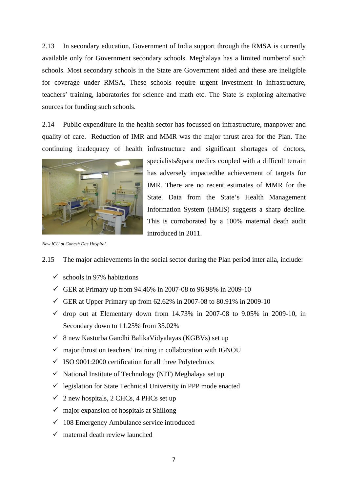2.13 In secondary education, Government of India support through the RMSA is currently available only for Government secondary schools. Meghalaya has a limited numberof such schools. Most secondary schools in the State are Government aided and these are ineligible for coverage under RMSA. These schools require urgent investment in infrastructure, teachers' training, laboratories for science and math etc. The State is exploring alternative sources for funding such schools.

2.14 Public expenditure in the health sector has focussed on infrastructure, manpower and quality of care. Reduction of IMR and MMR was the major thrust area for the Plan. The continuing inadequacy of health infrastructure and significant shortages of doctors,



specialists& para medics coupled with a difficult terrain has adversely impactedthe achievement of targets for IMR. There are no recent estimates of MMR for the State. Data from the State's Health Management Information System (HMIS) suggests a sharp decline. This is corroborated by a 100% maternal death audit introduced in 2011.

*New ICU at Ganesh Das Hospital* 

- 2.15 The major achievements in the social sector during the Plan period inter alia, include:
	- $\checkmark$  schools in 97% habitations
	- GER at Primary up from  $94.46\%$  in 2007-08 to 96.98% in 2009-10
	- GER at Upper Primary up from  $62.62\%$  in 2007-08 to 80.91% in 2009-10
	- $\checkmark$  drop out at Elementary down from 14.73% in 2007-08 to 9.05% in 2009-10, in Secondary down to 11.25% from 35.02%
	- $\checkmark$  8 new Kasturba Gandhi BalikaVidyalayas (KGBVs) set up
	- $\checkmark$  major thrust on teachers' training in collaboration with IGNOU
	- $\checkmark$  ISO 9001:2000 certification for all three Polytechnics
	- $\checkmark$  National Institute of Technology (NIT) Meghalaya set up
	- $\checkmark$  legislation for State Technical University in PPP mode enacted
	- $\checkmark$  2 new hospitals, 2 CHCs, 4 PHCs set up
	- $\checkmark$  major expansion of hospitals at Shillong
	- $\checkmark$  108 Emergency Ambulance service introduced
	- $\checkmark$  maternal death review launched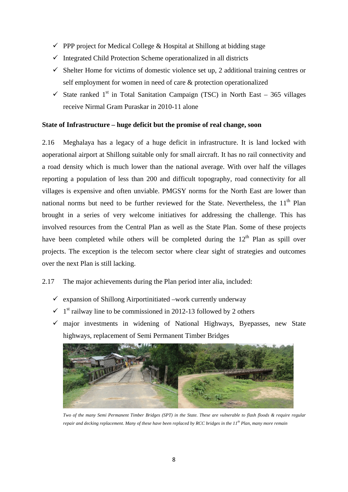- $\checkmark$  PPP project for Medical College & Hospital at Shillong at bidding stage
- $\checkmark$  Integrated Child Protection Scheme operationalized in all districts
- $\checkmark$  Shelter Home for victims of domestic violence set up, 2 additional training centres or self employment for women in need of care & protection operationalized
- $\checkmark$  State ranked 1<sup>st</sup> in Total Sanitation Campaign (TSC) in North East 365 villages receive Nirmal Gram Puraskar in 2010-11 alone

#### **State of Infrastructure – huge deficit but the promise of real change, soon**

2.16 Meghalaya has a legacy of a huge deficit in infrastructure. It is land locked with aoperational airport at Shillong suitable only for small aircraft. It has no rail connectivity and a road density which is much lower than the national average. With over half the villages reporting a population of less than 200 and difficult topography, road connectivity for all villages is expensive and often unviable. PMGSY norms for the North East are lower than national norms but need to be further reviewed for the State. Nevertheless, the  $11<sup>th</sup>$  Plan brought in a series of very welcome initiatives for addressing the challenge. This has involved resources from the Central Plan as well as the State Plan. Some of these projects have been completed while others will be completed during the  $12<sup>th</sup>$  Plan as spill over projects. The exception is the telecom sector where clear sight of strategies and outcomes over the next Plan is still lacking.

# 2.17 The major achievements during the Plan period inter alia, included:

- $\checkmark$  expansion of Shillong Airportinitiated –work currently underway
- $\checkmark$  1<sup>st</sup> railway line to be commissioned in 2012-13 followed by 2 others
- $\checkmark$  major investments in widening of National Highways, Byepasses, new State highways, replacement of Semi Permanent Timber Bridges



*Two of the many Semi Permanent Timber Bridges (SPT) in the State. These are vulnerable to flash floods & require regular repair and decking replacement. Many of these have been replaced by RCC bridges in the 11th Plan, many more remain*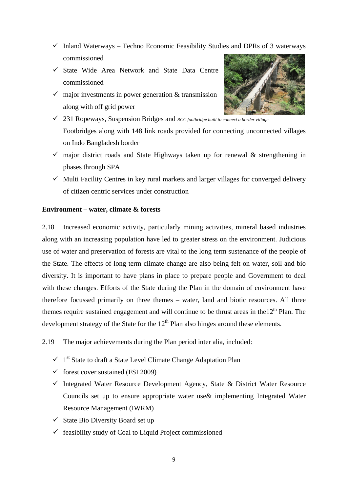- $\checkmark$  Inland Waterways Techno Economic Feasibility Studies and DPRs of 3 waterways commissioned
- $\checkmark$  State Wide Area Network and State Data Centre commissioned
- $\checkmark$  major investments in power generation & transmission along with off grid power



- 231 Ropeways, Suspension Bridges and *RCC footbridge built to connect a border village* Footbridges along with 148 link roads provided for connecting unconnected villages on Indo Bangladesh border
- $\checkmark$  major district roads and State Highways taken up for renewal & strengthening in phases through SPA
- $\checkmark$  Multi Facility Centres in key rural markets and larger villages for converged delivery of citizen centric services under construction

# **Environment – water, climate & forests**

2.18 Increased economic activity, particularly mining activities, mineral based industries along with an increasing population have led to greater stress on the environment. Judicious use of water and preservation of forests are vital to the long term sustenance of the people of the State. The effects of long term climate change are also being felt on water, soil and bio diversity. It is important to have plans in place to prepare people and Government to deal with these changes. Efforts of the State during the Plan in the domain of environment have therefore focussed primarily on three themes – water, land and biotic resources. All three themes require sustained engagement and will continue to be thrust areas in the  $12<sup>th</sup>$  Plan. The development strategy of the State for the  $12<sup>th</sup>$  Plan also hinges around these elements.

2.19 The major achievements during the Plan period inter alia, included:

- $\checkmark$  1<sup>st</sup> State to draft a State Level Climate Change Adaptation Plan
- $\checkmark$  forest cover sustained (FSI 2009)
- $\checkmark$  Integrated Water Resource Development Agency, State & District Water Resource Councils set up to ensure appropriate water use& implementing Integrated Water Resource Management (IWRM)
- $\checkmark$  State Bio Diversity Board set up
- $\checkmark$  feasibility study of Coal to Liquid Project commissioned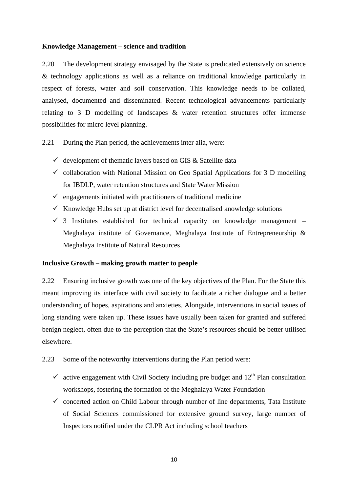#### **Knowledge Management – science and tradition**

2.20 The development strategy envisaged by the State is predicated extensively on science & technology applications as well as a reliance on traditional knowledge particularly in respect of forests, water and soil conservation. This knowledge needs to be collated, analysed, documented and disseminated. Recent technological advancements particularly relating to 3 D modelling of landscapes & water retention structures offer immense possibilities for micro level planning.

2.21 During the Plan period, the achievements inter alia, were:

- $\checkmark$  development of thematic layers based on GIS & Satellite data
- $\checkmark$  collaboration with National Mission on Geo Spatial Applications for 3 D modelling for IBDLP, water retention structures and State Water Mission
- $\checkmark$  engagements initiated with practitioners of traditional medicine
- $\checkmark$  Knowledge Hubs set up at district level for decentralised knowledge solutions
- $\checkmark$  3 Institutes established for technical capacity on knowledge management Meghalaya institute of Governance, Meghalaya Institute of Entrepreneurship & Meghalaya Institute of Natural Resources

#### **Inclusive Growth – making growth matter to people**

2.22 Ensuring inclusive growth was one of the key objectives of the Plan. For the State this meant improving its interface with civil society to facilitate a richer dialogue and a better understanding of hopes, aspirations and anxieties. Alongside, interventions in social issues of long standing were taken up. These issues have usually been taken for granted and suffered benign neglect, often due to the perception that the State's resources should be better utilised elsewhere.

2.23 Some of the noteworthy interventions during the Plan period were:

- $\checkmark$  active engagement with Civil Society including pre budget and  $12<sup>th</sup>$  Plan consultation workshops, fostering the formation of the Meghalaya Water Foundation
- $\checkmark$  concerted action on Child Labour through number of line departments, Tata Institute of Social Sciences commissioned for extensive ground survey, large number of Inspectors notified under the CLPR Act including school teachers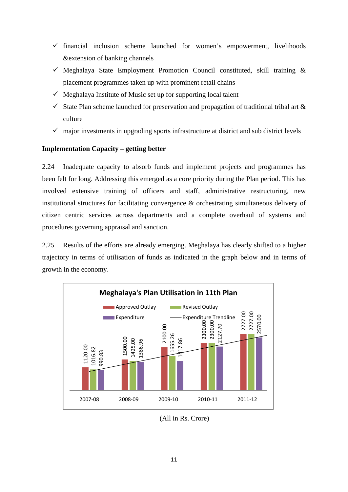- $\checkmark$  financial inclusion scheme launched for women's empowerment, livelihoods &extension of banking channels
- $\checkmark$  Meghalaya State Employment Promotion Council constituted, skill training & placement programmes taken up with prominent retail chains
- $\checkmark$  Meghalaya Institute of Music set up for supporting local talent
- $\checkmark$  State Plan scheme launched for preservation and propagation of traditional tribal art  $\&$ culture
- $\checkmark$  major investments in upgrading sports infrastructure at district and sub district levels

# **Implementation Capacity – getting better**

2.24 Inadequate capacity to absorb funds and implement projects and programmes has been felt for long. Addressing this emerged as a core priority during the Plan period. This has involved extensive training of officers and staff, administrative restructuring, new institutional structures for facilitating convergence & orchestrating simultaneous delivery of citizen centric services across departments and a complete overhaul of systems and procedures governing appraisal and sanction.

2.25 Results of the efforts are already emerging. Meghalaya has clearly shifted to a higher trajectory in terms of utilisation of funds as indicated in the graph below and in terms of growth in the economy.



(All in Rs. Crore)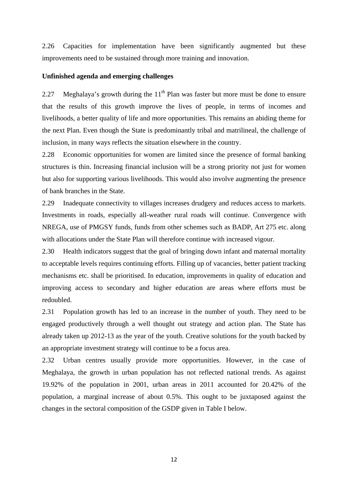2.26 Capacities for implementation have been significantly augmented but these improvements need to be sustained through more training and innovation.

# **Unfinished agenda and emerging challenges**

2.27 Meghalaya's growth during the  $11<sup>th</sup>$  Plan was faster but more must be done to ensure that the results of this growth improve the lives of people, in terms of incomes and livelihoods, a better quality of life and more opportunities. This remains an abiding theme for the next Plan. Even though the State is predominantly tribal and matrilineal, the challenge of inclusion, in many ways reflects the situation elsewhere in the country.

2.28 Economic opportunities for women are limited since the presence of formal banking structures is thin. Increasing financial inclusion will be a strong priority not just for women but also for supporting various livelihoods. This would also involve augmenting the presence of bank branches in the State.

2.29 Inadequate connectivity to villages increases drudgery and reduces access to markets. Investments in roads, especially all-weather rural roads will continue. Convergence with NREGA, use of PMGSY funds, funds from other schemes such as BADP, Art 275 etc. along with allocations under the State Plan will therefore continue with increased vigour.

2.30 Health indicators suggest that the goal of bringing down infant and maternal mortality to acceptable levels requires continuing efforts. Filling up of vacancies, better patient tracking mechanisms etc. shall be prioritised. In education, improvements in quality of education and improving access to secondary and higher education are areas where efforts must be redoubled.

2.31 Population growth has led to an increase in the number of youth. They need to be engaged productively through a well thought out strategy and action plan. The State has already taken up 2012-13 as the year of the youth. Creative solutions for the youth backed by an appropriate investment strategy will continue to be a focus area.

2.32 Urban centres usually provide more opportunities. However, in the case of Meghalaya, the growth in urban population has not reflected national trends. As against 19.92% of the population in 2001, urban areas in 2011 accounted for 20.42% of the population, a marginal increase of about 0.5%. This ought to be juxtaposed against the changes in the sectoral composition of the GSDP given in Table I below.

12